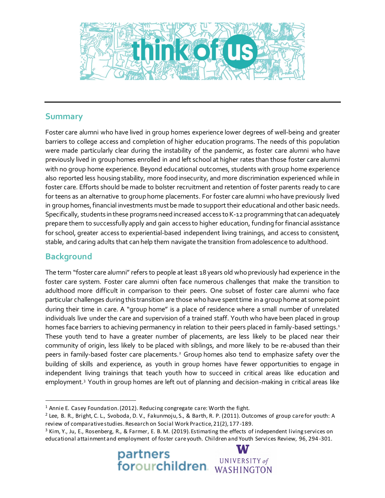

## **Summary**

Foster care alumni who have lived in group homes experience lower degrees of well-being and greater barriers to college access and completion of higher education programs. The needs of this population were made particularly clear during the instability of the pandemic, as foster care alumni who have previously lived in group homes enrolled in and left school at higher rates than those foster care alumni with no group home experience. Beyond educational outcomes, students with group home experience also reported less housing stability, more food insecurity, and more discrimination experienced while in foster care. Efforts should be made to bolster recruitment and retention of foster parents ready to care for teens as an alternative to group home placements. For foster care alumni who have previously lived in group homes, financial investments must be made to support their educational and other basic needs. Specifically, students in these programs need increased access to K-12 programming that can adequately prepare them to successfully apply and gain access to higher education, funding for financial assistance for school, greater access to experiential-based independent living trainings, and access to consistent, stable, and caring adults that can help them navigate the transition from adolescence to adulthood.

## **Background**

 $\overline{a}$ 

The term "foster care alumni" refers to people at least 18 years old who previously had experience in the foster care system. Foster care alumni often face numerous challenges that make the transition to adulthood more difficult in comparison to their peers. One subset of foster care alumni who face particular challenges during this transition are those who have spent time in a group home at some point during their time in care. A "group home" is a place of residence where a small number of unrelated individuals live under the care and supervision of a trained staff. Youth who have been placed in group homes face barriers to achieving permanency in relation to their peers placed in family-based settings.<sup>1</sup> These youth tend to have a greater number of placements, are less likely to be placed near their community of origin, less likely to be placed with siblings, and more likely to be re-abused than their peers in family-based foster care placements.<sup>2</sup> Group homes also tend to emphasize safety over the building of skills and experience, as youth in group homes have fewer opportunities to engage in independent living trainings that teach youth how to succeed in critical areas like education and employment.<sup>3</sup> Youth in group homes are left out of planning and decision-making in critical areas like

<sup>3</sup> Kim, Y., Ju, E., Rosenberg, R., & Farmer, E. B. M. (2019). Estimating the effects of independent living services on educational attainment and employment of foster care youth. Children and Youth Services Review, 96, 294 -301.



<sup>1</sup> Annie E. Casey Foundation. (2012). Reducing congregate care: Worth the fight.

<sup>2</sup> Lee, B. R., Bright, C. L., Svoboda, D. V., Fakunmoju, S., & Barth, R. P. (2011). Outcomes of group care for youth: A review of comparative studies. Research on Social Work Practice, 21(2), 177-189.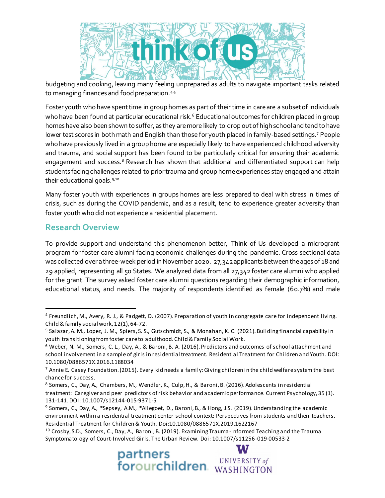

budgeting and cooking, leaving many feeling unprepared as adults to navigate important tasks related to managing finances and food preparation. 4,5

Foster youth who have spent time in group homes as part of their time in care are a subset of individuals who have been found at particular educational risk.<sup>6</sup> Educational outcomes for children placed in group homes have also been shown to suffer, as they are more likely to drop out of high school and tend to have lower test scores in both math and English than those for youth placed in family-based settings.<sup>7</sup> People who have previously lived in a group home are especially likely to have experienced childhood adversity and trauma, and social support has been found to be particularly critical for ensuring their academic engagement and success.<sup>8</sup> Research has shown that additional and differentiated support can help students facing challenges related to prior trauma and group home experiences stay engaged and attain their educational goals.<sup>9,10</sup>

Many foster youth with experiences in groups homes are less prepared to deal with stress in times of crisis, such as during the COVID pandemic, and as a result, tend to experience greater adversity than foster youth who did not experience a residential placement.

## **Research Overview**

 $\overline{a}$ 

To provide support and understand this phenomenon better, Think of Us developed a microgrant program for foster care alumni facing economic challenges during the pandemic. Cross sectional data was collected over a three-week period in November 2020. 27,342applicants between the ages of 18 and 29 applied, representing all 50 States. We analyzed data from all 27,342 foster care alumni who applied for the grant. The survey asked foster care alumni questions regarding their demographic information, educational status, and needs. The majority of respondents identified as female (60.7%) and male

<sup>10</sup> Crosby, S.D., Somers, C., Day, A., Baroni, B. (2019). Examining Trauma -Informed Teaching and the Trauma Symptomatology of Court-Involved Girls. The Urban Review. Doi: 10.1007/s11256-019-00533-2



<sup>4</sup> Freundlich, M., Avery, R. J., & Padgett, D. (2007). Preparation of youth in congregate care for independent living. Child & family social work, 12(1), 64-72.

<sup>5</sup> Salazar, A. M., Lopez, J. M., Spiers, S. S., Gutschmidt, S., & Monahan, K. C. (2021). Building financial capability in youth transitioning from foster care to adulthood. Child & Family Social Work.

<sup>6</sup> Weber, N. M., Somers, C. L., Day, A., & Baroni, B. A. (2016). Predictors and outcomes of school attachment and school involvement in a sample of girls in residential treatment. Residential Treatment for Children and Youth. DOI: 10.1080/0886571X.2016.1188034

<sup>7</sup> Annie E. Casey Foundation. (2015). Every kid needs a family: Giving children in the child welfare system the best chance for success.

<sup>8</sup> Somers, C., Day, A., Chambers, M., Wendler, K., Culp, H., & Baroni, B. (2016). Adolescents in residential treatment: Caregiver and peer predictors of risk behavior and academic performance. Current Psychology, 35 (1). 131-141. DOI: 10.1007/s12144-015-9371-5.

<sup>&</sup>lt;sup>9</sup> Somers, C., Day, A., \*Sepsey, A.M., \*Allegoet, D., Baroni, B., & Hong, J.S. (2019). Understanding the academic environment within a residential treatment center school context: Perspectives from students and their teachers. Residential Treatment for Children & Youth. Doi:10.1080/0886571X.2019.1622167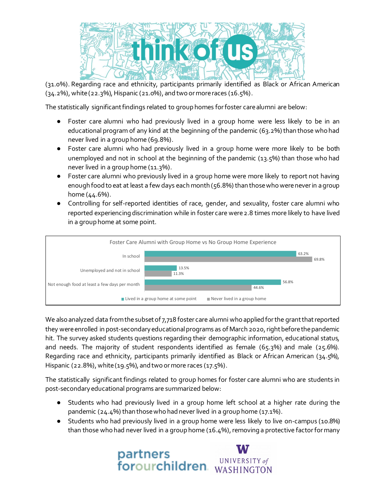

(31.0%). Regarding race and ethnicity, participants primarily identified as Black or African American (34.2%), white (22.3%), Hispanic (21.0%), and two or more races (16.5%).

The statistically significant findings related to group homes for foster care alumni are below:

- Foster care alumni who had previously lived in a group home were less likely to be in an educational program of any kind at the beginning of the pandemic (63.2%) than those who had never lived in a group home (69.8%).
- Foster care alumni who had previously lived in a group home were more likely to be both unemployed and not in school at the beginning of the pandemic (13.5%) than those who had never lived in a group home (11.3%).
- Foster care alumni who previously lived in a group home were more likely to report not having enough food to eat at least a few days each month (56.8%) than those who were never in a group home (44.6%).
- Controlling for self-reported identities of race, gender, and sexuality, foster care alumni who reported experiencing discrimination while in foster care were 2.8 times more likely to have lived in a group home at some point.



We also analyzed data from the subset of 7,718 foster care alumni who applied for the grant that reported they were enrolled in post-secondary educational programs as of March 2020, right before the pandemic hit. The survey asked students questions regarding their demographic information, educational status, and needs. The majority of student respondents identified as female (65.3%) and male (25.6%). Regarding race and ethnicity, participants primarily identified as Black or African American (34.5%), Hispanic (22.8%), white (19.5%), and two or more races (17.5%).

The statistically significant findings related to group homes for foster care alumni who are students in post-secondary educational programs are summarized below:

- Students who had previously lived in a group home left school at a higher rate during the pandemic (24.4%) than those who had never lived in a group home (17.1%).
- Students who had previously lived in a group home were less likely to live on-campus (10.8%) than those who had never lived in a group home (16.4%), removing a protective factorformany

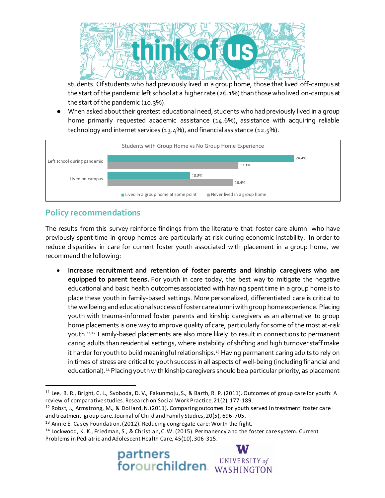

students. Of students who had previously lived in a group home, those that lived off-campus at the start of the pandemic left school at a higher rate (26.1%) than those who lived on-campus at the start of the pandemic (10.3%).

● When asked about their greatest educational need, students who had previously lived in a group home primarily requested academic assistance (14.6%), assistance with acquiring reliable technology and internet services (13.4%), and financial assistance (12.5%).



## **Policy recommendations**

 $\overline{a}$ 

The results from this survey reinforce findings from the literature that foster care alumni who have previously spent time in group homes are particularly at risk during economic instability. In order to reduce disparities in care for current foster youth associated with placement in a group home, we recommend the following:

 **Increase recruitment and retention of foster parents and kinship caregivers who are equipped to parent teens.** For youth in care today, the best way to mitigate the negative educational and basic health outcomes associated with having spent time in a group home is to place these youth in family-based settings. More personalized, differentiated care is critical to the wellbeing and educational success of foster care alumni with group home experience. Placing youth with trauma-informed foster parents and kinship caregivers as an alternative to group home placements is one way to improve quality of care, particularly for some of the most at-risk youth. 11,12 Family-based placements are also more likely to result in connections to permanent caring adults than residential settings, where instability of shifting and high turnover staff make it harder for youth to build meaningful relationships.<sup>13</sup> Having permanent caring adults to rely on in times of stress are critical to youth success in all aspects of well-being (including financial and educational). <sup>14</sup> Placing youth with kinship caregivers should be a particular priority, as placement

<sup>14</sup> Lockwood, K. K., Friedman, S., & Christian, C. W. (2015). Permanency and the foster care system. Current Problems in Pediatric and Adolescent Health Care, 45(10), 306-315.



<sup>&</sup>lt;sup>11</sup> Lee, B. R., Bright, C. L., Svoboda, D. V., Fakunmoju, S., & Barth, R. P. (2011). Outcomes of group care for youth: A review of comparative studies. Research on Social Work Practice, 21(2), 177-189.

<sup>12</sup> Robst, J., Armstrong, M., & Dollard, N. (2011). Comparing outcomes for youth served in treatment foster care and treatment group care. Journal of Child and Family Studies, 20(5), 696-705.

<sup>13</sup> Annie E. Casey Foundation. (2012). Reducing congregate care: Worth the fight.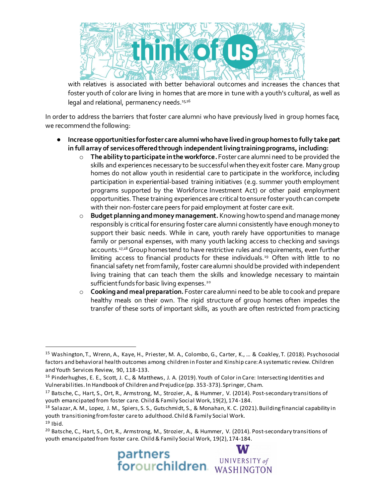

with relatives is associated with better behavioral outcomes and increases the chances that foster youth of color are living in homes that are more in tune with a youth's cultural, as well as legal and relational, permanency needs. 15,16

In order to address the barriers that foster care alumni who have previously lived in group homes face, we recommend the following:

- **Increase opportunities for foster care alumni who have lived in group homes to fully take part in full array of services offered through independent living training programs, including:**
	- o **The ability to participate in the workforce.**Foster care alumni need to be provided the skills and experiences necessary to be successful when they exit foster care. Many group homes do not allow youth in residential care to participate in the workforce, including participation in experiential-based training initiatives (e.g. summer youth employment programs supported by the Workforce Investment Act) or other paid employment opportunities. These training experiences are critical to ensure foster youth can compete with their non-foster care peers for paid employment at foster care exit.
	- o **Budget planning and money management.**Knowing how to spend and manage money responsibly is critical for ensuring foster care alumni consistently have enough money to support their basic needs. While in care, youth rarely have opportunities to manage family or personal expenses, with many youth lacking access to checking and savings accounts.<sup>17,18</sup> Group homes tend to have restrictive rules and requirements, even further limiting access to financial products for these individuals.<sup>19</sup> Often with little to no financial safety net from family, foster care alumni should be provided with independent living training that can teach them the skills and knowledge necessary to maintain sufficient funds for basic living expenses.<sup>20</sup>
	- o **Cooking and meal preparation.** Foster care alumni need to be able to cook and prepare healthy meals on their own. The rigid structure of group homes often impedes the transfer of these sorts of important skills, as youth are often restricted from practicing

 $\overline{a}$ 

<sup>&</sup>lt;sup>20</sup> Batsche, C., Hart, S., Ort, R., Armstrong, M., Strozier, A., & Hummer, V. (2014). Post-secondary transitions of youth emancipated from foster care. Child & Family Social Work, 19(2), 174-184.



<sup>15</sup> Washington, T., Wrenn, A., Kaye, H., Priester, M. A., Colombo, G., Carter, K., ... & Coakley, T. (2018). Psychosocial factors and behavioral health outcomes among children in Foster and Kinship care: A systematic review. Children and Youth Services Review, 90, 118-133.

<sup>16</sup> Pinderhughes, E. E., Scott, J. C., & Matthews, J. A. (2019). Youth of Color in Care: Intersecting Identities and Vulnerabilities. In Handbook of Children and Prejudice (pp. 353-373). Springer, Cham.

<sup>17</sup> Batsche, C., Hart, S., Ort, R., Armstrong, M., Strozier, A., & Hummer, V. (2014). Post-secondary transitions of youth emancipated from foster care. Child & Family Social Work, 19(2), 174-184.

<sup>18</sup> Salazar, A. M., Lopez, J. M., Spiers, S. S., Gutschmidt, S., & Monahan, K. C. (2021). Building financial capability in youth transitioning from foster care to adulthood. Child & Family Social Work.

 $19$  Ibid.